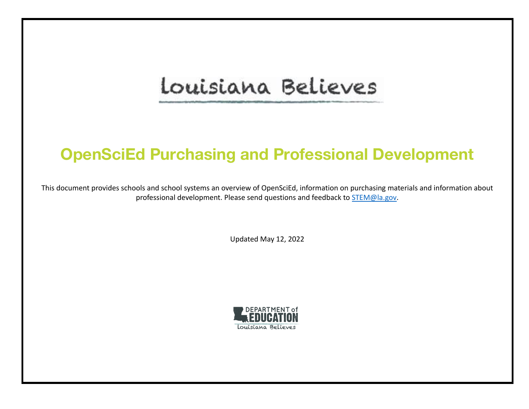# Louisiana Believes

# **OpenSciEd Purchasing and Professional Development**

This document provides schools and school systems an overview of OpenSciEd, information on purchasing materials and information about professional development. Please send questions and feedback to [STEM@la.gov.](mailto:classroomsupporttoolbox@la.gov)

Updated May 12, 2022

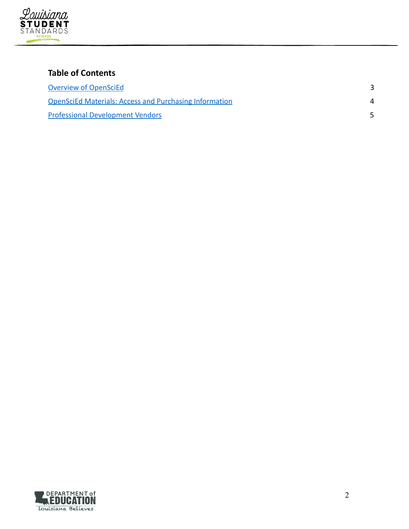

# **Table of Contents**

| <b>Overview of OpenSciEd</b>                                  |  |
|---------------------------------------------------------------|--|
| <b>OpenSciEd Materials: Access and Purchasing Information</b> |  |
| <b>Professional Development Vendors</b>                       |  |

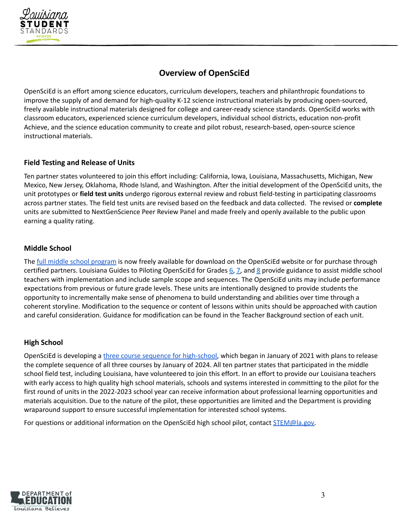

# **Overview of OpenSciEd**

<span id="page-2-0"></span>OpenSciEd is an effort among science educators, curriculum developers, teachers and philanthropic foundations to improve the supply of and demand for high-quality K-12 science instructional materials by producing open-sourced, freely available instructional materials designed for college and career-ready science standards. OpenSciEd works with classroom educators, experienced science curriculum developers, individual school districts, education non-profit Achieve, and the science education community to create and pilot robust, research-based, open-source science instructional materials.

### **Field Testing and Release of Units**

Ten partner states volunteered to join this effort including: California, Iowa, Louisiana, Massachusetts, Michigan, New Mexico, New Jersey, Oklahoma, Rhode Island, and Washington. After the initial development of the OpenSciEd units, the unit prototypes or **field test units** undergo rigorous external review and robust field-testing in participating classrooms across partner states. The field test units are revised based on the feedback and data collected. The revised or **complete** units are submitted to NextGenScience Peer Review Panel and made freely and openly available to the public upon earning a quality rating.

# **Middle School**

The full middle school [program](https://www.openscied.org/purchase-materials/) is now freely available for download on the OpenSciEd website or for purchase through certified partners. Louisiana Guides to Piloting OpenSciEd for Grades  $6, 7$  $6, 7$ , and  $8$  provide guidance to assist middle school teachers with implementation and include sample scope and sequences. The OpenSciEd units may include performance expectations from previous or future grade levels. These units are intentionally designed to provide students the opportunity to incrementally make sense of phenomena to build understanding and abilities over time through a coherent storyline. Modification to the sequence or content of lessons within units should be approached with caution and careful consideration. Guidance for modification can be found in the Teacher Background section of each unit.

### **High School**

OpenSciEd is developing a three course sequence for [high-school](https://www.louisianabelieves.com/docs/default-source/year-long-planning/openscied-high-school-pilot.pdf), which began in January of 2021 with plans to release the complete sequence of all three courses by January of 2024. All ten partner states that participated in the middle school field test, including Louisiana, have volunteered to join this effort. In an effort to provide our Louisiana teachers with early access to high quality high school materials, schools and systems interested in committing to the pilot for the first round of units in the 2022-2023 school year can receive information about professional learning opportunities and materials acquisition. Due to the nature of the pilot, these opportunities are limited and the Department is providing wraparound support to ensure successful implementation for interested school systems.

For questions or additional information on the OpenSciEd high school pilot, contact [STEM@la.gov.](mailto:STEM@la.gov)

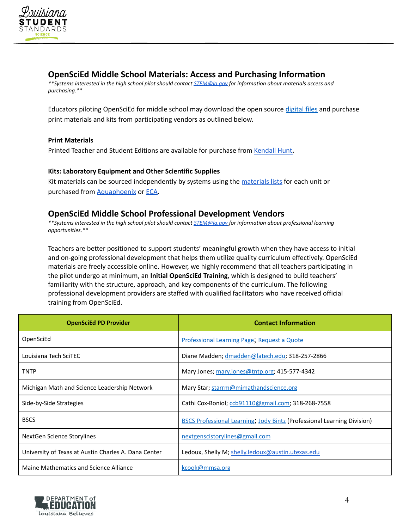

# <span id="page-3-0"></span>**OpenSciEd Middle School Materials: Access and Purchasing Information**

*\*\*Systems interested in the high school pilot should contact [STEM@la.gov](mailto:STEM@la.gov) for information about materials access and purchasing.\*\**

Educators piloting OpenSciEd for middle school may download the open source [digital](https://www.openscied.org/access-the-materials/) files and purchase print materials and kits from participating vendors as outlined below.

#### **Print Materials**

Printed Teacher and Student Editions are available for purchase from [Kendall](https://k12.kendallhunt.com/program/openscied) Hunt**.**

#### **Kits: Laboratory Equipment and Other Scientific Supplies**

Kit materials can be sourced independently by systems using the [materials](https://www.openscied.org/kits/) lists for each unit or purchased from [Aquaphoenix](https://info.aquaphoenixsci.com/en-us/openscied-kits) or [ECA](https://www.eca.bz/opensource).

# <span id="page-3-1"></span>**OpenSciEd Middle School Professional Development Vendors**

*\*\*Systems interested in the high school pilot should contact [STEM@la.gov](mailto:STEM@la.gov) for information about professional learning opportunities.\*\**

Teachers are better positioned to support students' meaningful growth when they have access to initial and on-going professional development that helps them utilize quality curriculum effectively. OpenSciEd materials are freely accessible online. However, we highly recommend that all teachers participating in the pilot undergo at minimum, an **Initial OpenSciEd Training**, which is designed to build teachers' familiarity with the structure, approach, and key components of the curriculum. The following professional development providers are staffed with qualified facilitators who have received official training from OpenSciEd.

| <b>OpenSciEd PD Provider</b>                         | <b>Contact Information</b>                                                     |
|------------------------------------------------------|--------------------------------------------------------------------------------|
| OpenSciEd                                            | Professional Learning Page; Request a Quote                                    |
| Louisiana Tech SciTEC                                | Diane Madden; dmadden@latech.edu; 318-257-2866                                 |
| <b>TNTP</b>                                          | Mary Jones; mary.jones@tntp.org; 415-577-4342                                  |
| Michigan Math and Science Leadership Network         | Mary Star; starrm@mimathandscience.org                                         |
| Side-by-Side Strategies                              | Cathi Cox-Boniol; ccb91110@gmail.com; 318-268-7558                             |
| <b>BSCS</b>                                          | <b>BSCS Professional Learning, Jody Bintz (Professional Learning Division)</b> |
| NextGen Science Storylines                           | nextgenscistorylines@gmail.com                                                 |
| University of Texas at Austin Charles A. Dana Center | Ledoux, Shelly M; shelly.ledoux@austin.utexas.edu                              |
| Maine Mathematics and Science Alliance               | kcook@mmsa.org                                                                 |